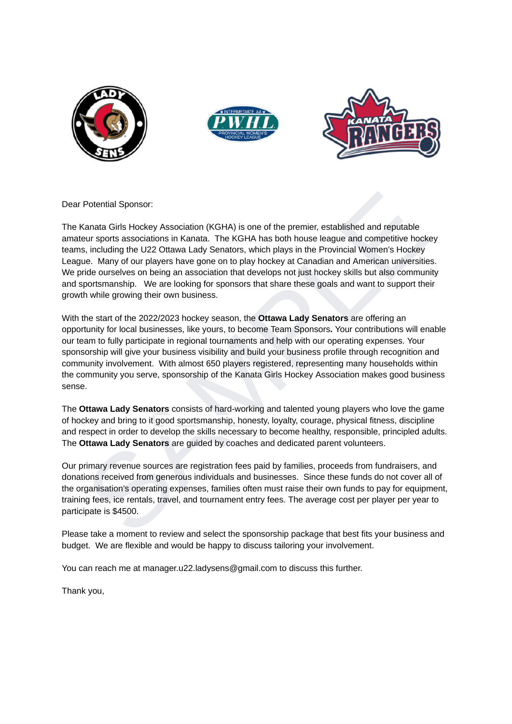





Dear Potential Sponsor:

The Kanata Girls Hockey Association (KGHA) is one of the premier, established and reputable amateur sports associations in Kanata. The KGHA has both house league and competitive hockey teams, including the U22 Ottawa Lady Senators, which plays in the Provincial Women's Hockey League. Many of our players have gone on to play hockey at Canadian and American universities. We pride ourselves on being an association that develops not just hockey skills but also community and sportsmanship. We are looking for sponsors that share these goals and want to support their growth while growing their own business.

Potential Sponsor:<br>
Ranata Girls Hockey Association (KGHA) is one of the premier, established and reputable<br>
eurs spons associations in Kanata. The KGHA has both house league and competitive hockey<br>
eurs sponsitions in Kan With the start of the 2022/2023 hockey season, the **Ottawa Lady Senators** are offering an opportunity for local businesses, like yours, to become Team Sponsors**.** Your contributions will enable our team to fully participate in regional tournaments and help with our operating expenses. Your sponsorship will give your business visibility and build your business profile through recognition and community involvement. With almost 650 players registered, representing many households within the community you serve, sponsorship of the Kanata Girls Hockey Association makes good business sense.

The **Ottawa Lady Senators** consists of hard-working and talented young players who love the game of hockey and bring to it good sportsmanship, honesty, loyalty, courage, physical fitness, discipline and respect in order to develop the skills necessary to become healthy, responsible, principled adults. The **Ottawa Lady Senators** are guided by coaches and dedicated parent volunteers.

Our primary revenue sources are registration fees paid by families, proceeds from fundraisers, and donations received from generous individuals and businesses. Since these funds do not cover all of the organisation's operating expenses, families often must raise their own funds to pay for equipment, training fees, ice rentals, travel, and tournament entry fees. The average cost per player per year to participate is \$4500.

Please take a moment to review and select the sponsorship package that best fits your business and budget. We are flexible and would be happy to discuss tailoring your involvement.

You can reach me at manager.u22.ladysens@gmail.com to discuss this further.

Thank you,